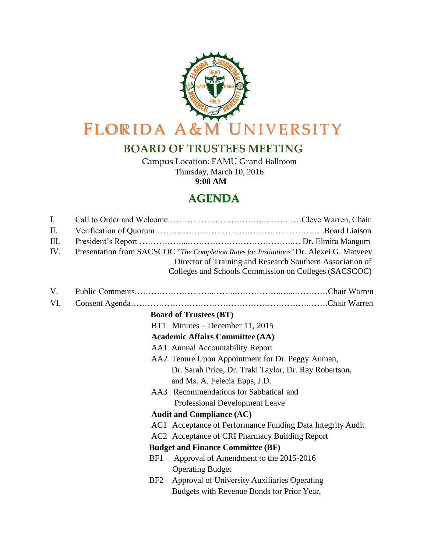

## **BOARD OF TRUSTEES MEETING**

Campus Location: FAMU Grand Ballroom Thursday, March 10, 2016 **9:00 AM**

## **AGENDA**

| $\mathbf{I}$ .                         |                 |                                                                                         |  |
|----------------------------------------|-----------------|-----------------------------------------------------------------------------------------|--|
| $\prod$ .                              |                 |                                                                                         |  |
| Ш.                                     |                 |                                                                                         |  |
| IV.                                    |                 | Presentation from SACSCOC "The Completion Rates for Institutions" Dr. Alexei G. Matveev |  |
|                                        |                 | Director of Training and Research Southern Association of                               |  |
|                                        |                 | Colleges and Schools Commission on Colleges (SACSCOC)                                   |  |
| V.                                     |                 |                                                                                         |  |
| VI.                                    |                 |                                                                                         |  |
| <b>Board of Trustees (BT)</b>          |                 |                                                                                         |  |
|                                        |                 | BT1 Minutes – December 11, 2015                                                         |  |
| <b>Academic Affairs Committee (AA)</b> |                 |                                                                                         |  |
|                                        |                 | AA1 Annual Accountability Report                                                        |  |
|                                        |                 | AA2 Tenure Upon Appointment for Dr. Peggy Auman,                                        |  |
|                                        |                 | Dr. Sarah Price, Dr. Traki Taylor, Dr. Ray Robertson,                                   |  |
|                                        |                 | and Ms. A. Felecia Epps, J.D.                                                           |  |
|                                        |                 | AA3 Recommendations for Sabbatical and                                                  |  |
|                                        |                 | Professional Development Leave                                                          |  |
| <b>Audit and Compliance (AC)</b>       |                 |                                                                                         |  |
|                                        |                 | AC1 Acceptance of Performance Funding Data Integrity Audit                              |  |
|                                        |                 | AC2 Acceptance of CRI Pharmacy Building Report                                          |  |
|                                        |                 | <b>Budget and Finance Committee (BF)</b>                                                |  |
|                                        | B <sub>F1</sub> | Approval of Amendment to the 2015-2016                                                  |  |
|                                        |                 | <b>Operating Budget</b>                                                                 |  |
|                                        | B <sub>F2</sub> | Approval of University Auxiliaries Operating                                            |  |
|                                        |                 | Budgets with Revenue Bonds for Prior Year,                                              |  |